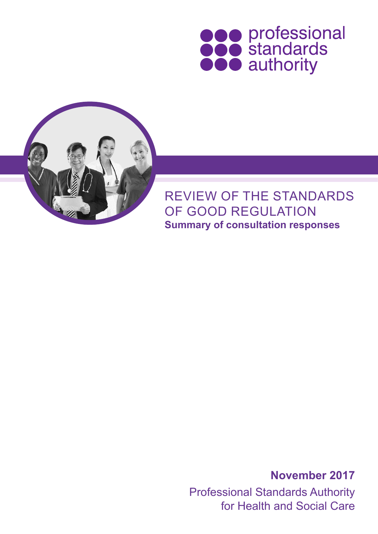



**Summary of consultation responses** REVIEW OF THE STANDARDS OF GOOD REGULATION

> Professional Standards Authority for Health and Social Care **November 2017**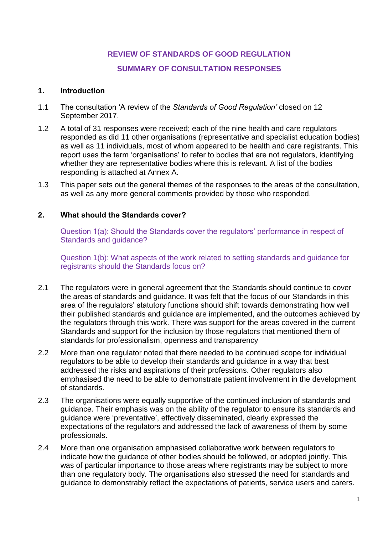# **REVIEW OF STANDARDS OF GOOD REGULATION**

### **SUMMARY OF CONSULTATION RESPONSES**

### **1. Introduction**

- 1.1 The consultation 'A review of the *Standards of Good Regulation'* closed on 12 September 2017.
- 1.2 A total of 31 responses were received; each of the nine health and care regulators responded as did 11 other organisations (representative and specialist education bodies) as well as 11 individuals, most of whom appeared to be health and care registrants. This report uses the term 'organisations' to refer to bodies that are not regulators, identifying whether they are representative bodies where this is relevant. A list of the bodies responding is attached at Annex A.
- 1.3 This paper sets out the general themes of the responses to the areas of the consultation, as well as any more general comments provided by those who responded.

### **2. What should the Standards cover?**

Question 1(a): Should the Standards cover the regulators' performance in respect of Standards and guidance?

Question 1(b): What aspects of the work related to setting standards and guidance for registrants should the Standards focus on?

- 2.1 The regulators were in general agreement that the Standards should continue to cover the areas of standards and guidance. It was felt that the focus of our Standards in this area of the regulators' statutory functions should shift towards demonstrating how well their published standards and guidance are implemented, and the outcomes achieved by the regulators through this work. There was support for the areas covered in the current Standards and support for the inclusion by those regulators that mentioned them of standards for professionalism, openness and transparency
- 2.2 More than one regulator noted that there needed to be continued scope for individual regulators to be able to develop their standards and guidance in a way that best addressed the risks and aspirations of their professions. Other regulators also emphasised the need to be able to demonstrate patient involvement in the development of standards.
- 2.3 The organisations were equally supportive of the continued inclusion of standards and guidance. Their emphasis was on the ability of the regulator to ensure its standards and guidance were 'preventative', effectively disseminated, clearly expressed the expectations of the regulators and addressed the lack of awareness of them by some professionals.
- 2.4 More than one organisation emphasised collaborative work between regulators to indicate how the guidance of other bodies should be followed, or adopted jointly. This was of particular importance to those areas where registrants may be subject to more than one regulatory body. The organisations also stressed the need for standards and guidance to demonstrably reflect the expectations of patients, service users and carers.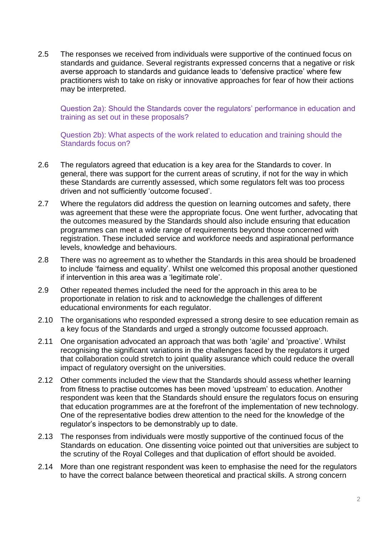2.5 The responses we received from individuals were supportive of the continued focus on standards and guidance. Several registrants expressed concerns that a negative or risk averse approach to standards and guidance leads to 'defensive practice' where few practitioners wish to take on risky or innovative approaches for fear of how their actions may be interpreted.

Question 2a): Should the Standards cover the regulators' performance in education and training as set out in these proposals?

Question 2b): What aspects of the work related to education and training should the Standards focus on?

- 2.6 The regulators agreed that education is a key area for the Standards to cover. In general, there was support for the current areas of scrutiny, if not for the way in which these Standards are currently assessed, which some regulators felt was too process driven and not sufficiently 'outcome focused'.
- 2.7 Where the regulators did address the question on learning outcomes and safety, there was agreement that these were the appropriate focus. One went further, advocating that the outcomes measured by the Standards should also include ensuring that education programmes can meet a wide range of requirements beyond those concerned with registration. These included service and workforce needs and aspirational performance levels, knowledge and behaviours.
- 2.8 There was no agreement as to whether the Standards in this area should be broadened to include 'fairness and equality'. Whilst one welcomed this proposal another questioned if intervention in this area was a 'legitimate role'.
- 2.9 Other repeated themes included the need for the approach in this area to be proportionate in relation to risk and to acknowledge the challenges of different educational environments for each regulator.
- 2.10 The organisations who responded expressed a strong desire to see education remain as a key focus of the Standards and urged a strongly outcome focussed approach.
- 2.11 One organisation advocated an approach that was both 'agile' and 'proactive'. Whilst recognising the significant variations in the challenges faced by the regulators it urged that collaboration could stretch to joint quality assurance which could reduce the overall impact of regulatory oversight on the universities.
- 2.12 Other comments included the view that the Standards should assess whether learning from fitness to practise outcomes has been moved 'upstream' to education. Another respondent was keen that the Standards should ensure the regulators focus on ensuring that education programmes are at the forefront of the implementation of new technology. One of the representative bodies drew attention to the need for the knowledge of the regulator's inspectors to be demonstrably up to date.
- 2.13 The responses from individuals were mostly supportive of the continued focus of the Standards on education. One dissenting voice pointed out that universities are subject to the scrutiny of the Royal Colleges and that duplication of effort should be avoided.
- 2.14 More than one registrant respondent was keen to emphasise the need for the regulators to have the correct balance between theoretical and practical skills. A strong concern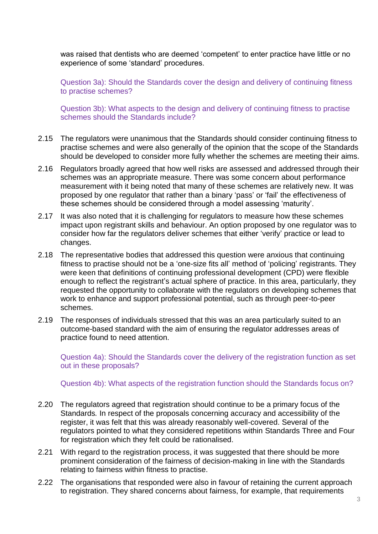was raised that dentists who are deemed 'competent' to enter practice have little or no experience of some 'standard' procedures.

Question 3a): Should the Standards cover the design and delivery of continuing fitness to practise schemes?

Question 3b): What aspects to the design and delivery of continuing fitness to practise schemes should the Standards include?

- 2.15 The regulators were unanimous that the Standards should consider continuing fitness to practise schemes and were also generally of the opinion that the scope of the Standards should be developed to consider more fully whether the schemes are meeting their aims.
- 2.16 Regulators broadly agreed that how well risks are assessed and addressed through their schemes was an appropriate measure. There was some concern about performance measurement with it being noted that many of these schemes are relatively new. It was proposed by one regulator that rather than a binary 'pass' or 'fail' the effectiveness of these schemes should be considered through a model assessing 'maturity'.
- 2.17 It was also noted that it is challenging for regulators to measure how these schemes impact upon registrant skills and behaviour. An option proposed by one regulator was to consider how far the regulators deliver schemes that either 'verify' practice or lead to changes.
- 2.18 The representative bodies that addressed this question were anxious that continuing fitness to practise should not be a 'one-size fits all' method of 'policing' registrants. They were keen that definitions of continuing professional development (CPD) were flexible enough to reflect the registrant's actual sphere of practice. In this area, particularly, they requested the opportunity to collaborate with the regulators on developing schemes that work to enhance and support professional potential, such as through peer-to-peer schemes.
- 2.19 The responses of individuals stressed that this was an area particularly suited to an outcome-based standard with the aim of ensuring the regulator addresses areas of practice found to need attention.

Question 4a): Should the Standards cover the delivery of the registration function as set out in these proposals?

Question 4b): What aspects of the registration function should the Standards focus on?

- 2.20 The regulators agreed that registration should continue to be a primary focus of the Standards*.* In respect of the proposals concerning accuracy and accessibility of the register, it was felt that this was already reasonably well-covered. Several of the regulators pointed to what they considered repetitions within Standards Three and Four for registration which they felt could be rationalised.
- 2.21 With regard to the registration process, it was suggested that there should be more prominent consideration of the fairness of decision-making in line with the Standards relating to fairness within fitness to practise.
- 2.22 The organisations that responded were also in favour of retaining the current approach to registration. They shared concerns about fairness, for example, that requirements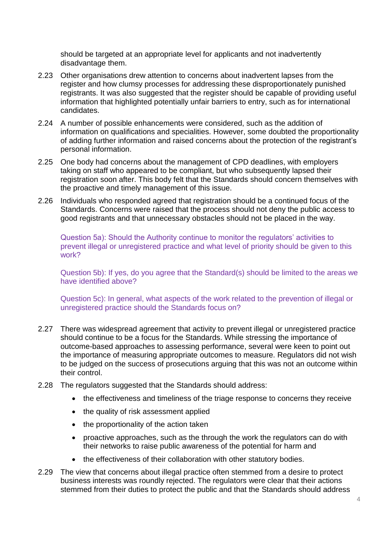should be targeted at an appropriate level for applicants and not inadvertently disadvantage them.

- 2.23 Other organisations drew attention to concerns about inadvertent lapses from the register and how clumsy processes for addressing these disproportionately punished registrants. It was also suggested that the register should be capable of providing useful information that highlighted potentially unfair barriers to entry, such as for international candidates.
- 2.24 A number of possible enhancements were considered, such as the addition of information on qualifications and specialities. However, some doubted the proportionality of adding further information and raised concerns about the protection of the registrant's personal information.
- 2.25 One body had concerns about the management of CPD deadlines, with employers taking on staff who appeared to be compliant, but who subsequently lapsed their registration soon after. This body felt that the Standards should concern themselves with the proactive and timely management of this issue.
- 2.26 Individuals who responded agreed that registration should be a continued focus of the Standards. Concerns were raised that the process should not deny the public access to good registrants and that unnecessary obstacles should not be placed in the way.

Question 5a): Should the Authority continue to monitor the regulators' activities to prevent illegal or unregistered practice and what level of priority should be given to this work?

Question 5b): If yes, do you agree that the Standard(s) should be limited to the areas we have identified above?

Question 5c): In general, what aspects of the work related to the prevention of illegal or unregistered practice should the Standards focus on?

- 2.27 There was widespread agreement that activity to prevent illegal or unregistered practice should continue to be a focus for the Standards. While stressing the importance of outcome-based approaches to assessing performance, several were keen to point out the importance of measuring appropriate outcomes to measure. Regulators did not wish to be judged on the success of prosecutions arguing that this was not an outcome within their control.
- 2.28 The regulators suggested that the Standards should address:
	- the effectiveness and timeliness of the triage response to concerns they receive
	- the quality of risk assessment applied
	- the proportionality of the action taken
	- proactive approaches, such as the through the work the regulators can do with their networks to raise public awareness of the potential for harm and
	- the effectiveness of their collaboration with other statutory bodies.
- 2.29 The view that concerns about illegal practice often stemmed from a desire to protect business interests was roundly rejected. The regulators were clear that their actions stemmed from their duties to protect the public and that the Standards should address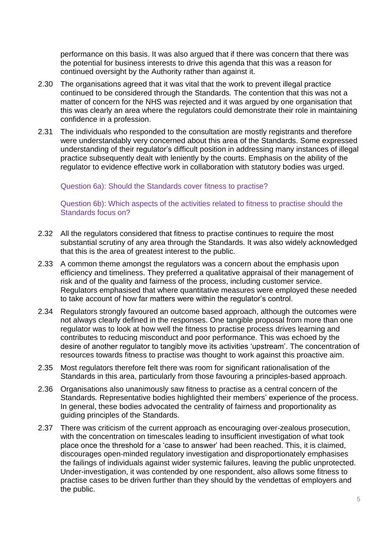performance on this basis. It was also argued that if there was concern that there was the potential for business interests to drive this agenda that this was a reason for continued oversight by the Authority rather than against it.

- 2.30 The organisations agreed that it was vital that the work to prevent illegal practice continued to be considered through the Standards*.* The contention that this was not a matter of concern for the NHS was rejected and it was argued by one organisation that this was clearly an area where the regulators could demonstrate their role in maintaining confidence in a profession.
- 2.31 The individuals who responded to the consultation are mostly registrants and therefore were understandably very concerned about this area of the Standards. Some expressed understanding of their regulator's difficult position in addressing many instances of illegal practice subsequently dealt with leniently by the courts. Emphasis on the ability of the regulator to evidence effective work in collaboration with statutory bodies was urged.

#### Question 6a): Should the Standards cover fitness to practise?

#### Question 6b): Which aspects of the activities related to fitness to practise should the Standards focus on?

- 2.32 All the regulators considered that fitness to practise continues to require the most substantial scrutiny of any area through the Standards. It was also widely acknowledged that this is the area of greatest interest to the public.
- 2.33 A common theme amongst the regulators was a concern about the emphasis upon efficiency and timeliness. They preferred a qualitative appraisal of their management of risk and of the quality and fairness of the process, including customer service. Regulators emphasised that where quantitative measures were employed these needed to take account of how far matters were within the regulator's control.
- 2.34 Regulators strongly favoured an outcome based approach, although the outcomes were not always clearly defined in the responses. One tangible proposal from more than one regulator was to look at how well the fitness to practise process drives learning and contributes to reducing misconduct and poor performance. This was echoed by the desire of another regulator to tangibly move its activities 'upstream'. The concentration of resources towards fitness to practise was thought to work against this proactive aim.
- 2.35 Most regulators therefore felt there was room for significant rationalisation of the Standards in this area, particularly from those favouring a principles-based approach.
- 2.36 Organisations also unanimously saw fitness to practise as a central concern of the Standards*.* Representative bodies highlighted their members' experience of the process. In general, these bodies advocated the centrality of fairness and proportionality as guiding principles of the Standards.
- 2.37 There was criticism of the current approach as encouraging over-zealous prosecution, with the concentration on timescales leading to insufficient investigation of what took place once the threshold for a 'case to answer' had been reached. This, it is claimed, discourages open-minded regulatory investigation and disproportionately emphasises the failings of individuals against wider systemic failures, leaving the public unprotected. Under-investigation, it was contended by one respondent, also allows some fitness to practise cases to be driven further than they should by the vendettas of employers and the public.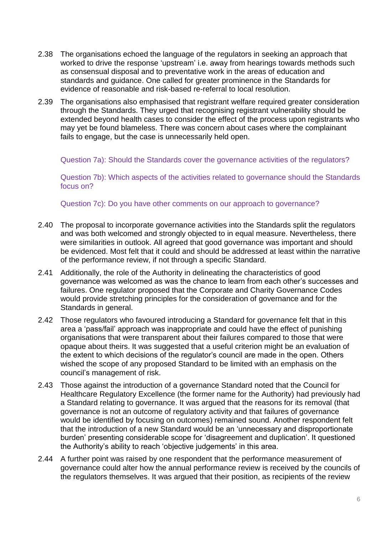- 2.38 The organisations echoed the language of the regulators in seeking an approach that worked to drive the response 'upstream' i.e. away from hearings towards methods such as consensual disposal and to preventative work in the areas of education and standards and guidance. One called for greater prominence in the Standards for evidence of reasonable and risk-based re-referral to local resolution.
- 2.39 The organisations also emphasised that registrant welfare required greater consideration through the Standards. They urged that recognising registrant vulnerability should be extended beyond health cases to consider the effect of the process upon registrants who may yet be found blameless. There was concern about cases where the complainant fails to engage, but the case is unnecessarily held open.

Question 7a): Should the Standards cover the governance activities of the regulators?

Question 7b): Which aspects of the activities related to governance should the Standards focus on?

Question 7c): Do you have other comments on our approach to governance?

- 2.40 The proposal to incorporate governance activities into the Standards split the regulators and was both welcomed and strongly objected to in equal measure. Nevertheless, there were similarities in outlook. All agreed that good governance was important and should be evidenced. Most felt that it could and should be addressed at least within the narrative of the performance review, if not through a specific Standard.
- 2.41 Additionally, the role of the Authority in delineating the characteristics of good governance was welcomed as was the chance to learn from each other's successes and failures. One regulator proposed that the Corporate and Charity Governance Codes would provide stretching principles for the consideration of governance and for the Standards in general.
- 2.42 Those regulators who favoured introducing a Standard for governance felt that in this area a 'pass/fail' approach was inappropriate and could have the effect of punishing organisations that were transparent about their failures compared to those that were opaque about theirs. It was suggested that a useful criterion might be an evaluation of the extent to which decisions of the regulator's council are made in the open. Others wished the scope of any proposed Standard to be limited with an emphasis on the council's management of risk.
- 2.43 Those against the introduction of a governance Standard noted that the Council for Healthcare Regulatory Excellence (the former name for the Authority) had previously had a Standard relating to governance. It was argued that the reasons for its removal (that governance is not an outcome of regulatory activity and that failures of governance would be identified by focusing on outcomes) remained sound. Another respondent felt that the introduction of a new Standard would be an 'unnecessary and disproportionate burden' presenting considerable scope for 'disagreement and duplication'. It questioned the Authority's ability to reach 'objective judgements' in this area.
- 2.44 A further point was raised by one respondent that the performance measurement of governance could alter how the annual performance review is received by the councils of the regulators themselves. It was argued that their position, as recipients of the review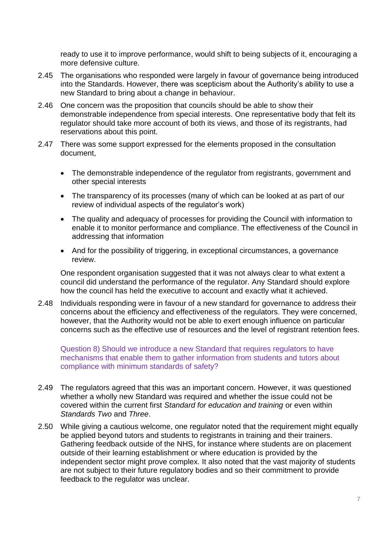ready to use it to improve performance, would shift to being subjects of it, encouraging a more defensive culture.

- 2.45 The organisations who responded were largely in favour of governance being introduced into the Standards. However, there was scepticism about the Authority's ability to use a new Standard to bring about a change in behaviour.
- 2.46 One concern was the proposition that councils should be able to show their demonstrable independence from special interests. One representative body that felt its regulator should take more account of both its views, and those of its registrants, had reservations about this point.
- 2.47 There was some support expressed for the elements proposed in the consultation document,
	- The demonstrable independence of the regulator from registrants, government and other special interests
	- The transparency of its processes (many of which can be looked at as part of our review of individual aspects of the regulator's work)
	- The quality and adequacy of processes for providing the Council with information to enable it to monitor performance and compliance. The effectiveness of the Council in addressing that information
	- And for the possibility of triggering, in exceptional circumstances, a governance review.

One respondent organisation suggested that it was not always clear to what extent a council did understand the performance of the regulator. Any Standard should explore how the council has held the executive to account and exactly what it achieved.

2.48 Individuals responding were in favour of a new standard for governance to address their concerns about the efficiency and effectiveness of the regulators. They were concerned, however, that the Authority would not be able to exert enough influence on particular concerns such as the effective use of resources and the level of registrant retention fees.

Question 8) Should we introduce a new Standard that requires regulators to have mechanisms that enable them to gather information from students and tutors about compliance with minimum standards of safety?

- 2.49 The regulators agreed that this was an important concern. However, it was questioned whether a wholly new Standard was required and whether the issue could not be covered within the current first *Standard for education and training* or even within *Standards Two* and *Three*.
- 2.50 While giving a cautious welcome, one regulator noted that the requirement might equally be applied beyond tutors and students to registrants in training and their trainers. Gathering feedback outside of the NHS, for instance where students are on placement outside of their learning establishment or where education is provided by the independent sector might prove complex. It also noted that the vast majority of students are not subject to their future regulatory bodies and so their commitment to provide feedback to the regulator was unclear.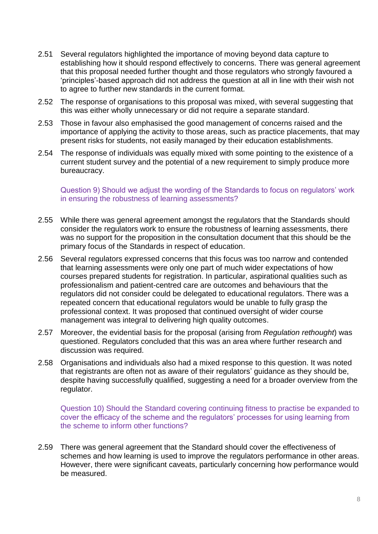- 2.51 Several regulators highlighted the importance of moving beyond data capture to establishing how it should respond effectively to concerns. There was general agreement that this proposal needed further thought and those regulators who strongly favoured a 'principles'-based approach did not address the question at all in line with their wish not to agree to further new standards in the current format.
- 2.52 The response of organisations to this proposal was mixed, with several suggesting that this was either wholly unnecessary or did not require a separate standard.
- 2.53 Those in favour also emphasised the good management of concerns raised and the importance of applying the activity to those areas, such as practice placements, that may present risks for students, not easily managed by their education establishments.
- 2.54 The response of individuals was equally mixed with some pointing to the existence of a current student survey and the potential of a new requirement to simply produce more bureaucracy.

Question 9) Should we adjust the wording of the Standards to focus on regulators' work in ensuring the robustness of learning assessments?

- 2.55 While there was general agreement amongst the regulators that the Standards should consider the regulators work to ensure the robustness of learning assessments, there was no support for the proposition in the consultation document that this should be the primary focus of the Standards in respect of education.
- 2.56 Several regulators expressed concerns that this focus was too narrow and contended that learning assessments were only one part of much wider expectations of how courses prepared students for registration. In particular, aspirational qualities such as professionalism and patient-centred care are outcomes and behaviours that the regulators did not consider could be delegated to educational regulators. There was a repeated concern that educational regulators would be unable to fully grasp the professional context. It was proposed that continued oversight of wider course management was integral to delivering high quality outcomes.
- 2.57 Moreover, the evidential basis for the proposal (arising from *Regulation rethought*) was questioned. Regulators concluded that this was an area where further research and discussion was required.
- 2.58 Organisations and individuals also had a mixed response to this question. It was noted that registrants are often not as aware of their regulators' guidance as they should be, despite having successfully qualified, suggesting a need for a broader overview from the regulator.

Question 10) Should the Standard covering continuing fitness to practise be expanded to cover the efficacy of the scheme and the regulators' processes for using learning from the scheme to inform other functions?

2.59 There was general agreement that the Standard should cover the effectiveness of schemes and how learning is used to improve the regulators performance in other areas. However, there were significant caveats, particularly concerning how performance would be measured.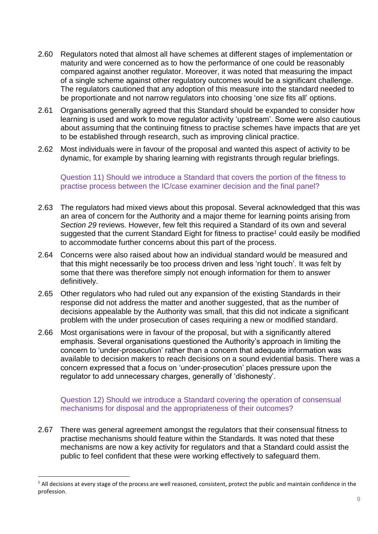- 2.60 Regulators noted that almost all have schemes at different stages of implementation or maturity and were concerned as to how the performance of one could be reasonably compared against another regulator. Moreover, it was noted that measuring the impact of a single scheme against other regulatory outcomes would be a significant challenge. The regulators cautioned that any adoption of this measure into the standard needed to be proportionate and not narrow regulators into choosing 'one size fits all' options.
- 2.61 Organisations generally agreed that this Standard should be expanded to consider how learning is used and work to move regulator activity 'upstream'. Some were also cautious about assuming that the continuing fitness to practise schemes have impacts that are yet to be established through research, such as improving clinical practice.
- 2.62 Most individuals were in favour of the proposal and wanted this aspect of activity to be dynamic, for example by sharing learning with registrants through regular briefings.

Question 11) Should we introduce a Standard that covers the portion of the fitness to practise process between the IC/case examiner decision and the final panel?

- 2.63 The regulators had mixed views about this proposal. Several acknowledged that this was an area of concern for the Authority and a major theme for learning points arising from *Section 29* reviews. However, few felt this required a Standard of its own and several suggested that the current Standard Eight for fitness to practise*<sup>1</sup>* could easily be modified to accommodate further concerns about this part of the process.
- 2.64 Concerns were also raised about how an individual standard would be measured and that this might necessarily be too process driven and less 'right touch'. It was felt by some that there was therefore simply not enough information for them to answer definitively.
- 2.65 Other regulators who had ruled out any expansion of the existing Standards in their response did not address the matter and another suggested, that as the number of decisions appealable by the Authority was small, that this did not indicate a significant problem with the under prosecution of cases requiring a new or modified standard.
- 2.66 Most organisations were in favour of the proposal, but with a significantly altered emphasis. Several organisations questioned the Authority's approach in limiting the concern to 'under-prosecution' rather than a concern that adequate information was available to decision makers to reach decisions on a sound evidential basis. There was a concern expressed that a focus on 'under-prosecution' places pressure upon the regulator to add unnecessary charges, generally of 'dishonesty'.

Question 12) Should we introduce a Standard covering the operation of consensual mechanisms for disposal and the appropriateness of their outcomes?

2.67 There was general agreement amongst the regulators that their consensual fitness to practise mechanisms should feature within the Standards*.* It was noted that these mechanisms are now a key activity for regulators and that a Standard could assist the public to feel confident that these were working effectively to safeguard them.

 $\overline{a}$ 

 $1$  All decisions at every stage of the process are well reasoned, consistent, protect the public and maintain confidence in the profession.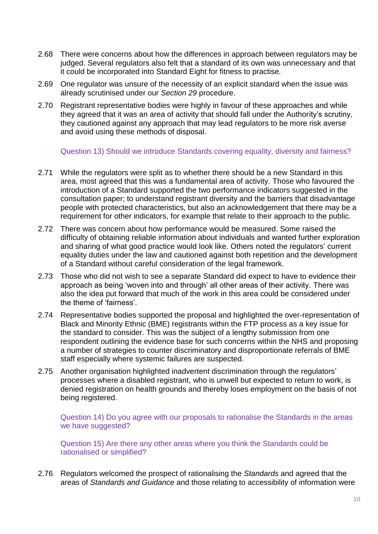- 2.68 There were concerns about how the differences in approach between regulators may be judged. Several regulators also felt that a standard of its own was unnecessary and that it could be incorporated into Standard Eight for fitness to practise*.*
- 2.69 One regulator was unsure of the necessity of an explicit standard when the issue was already scrutinised under our *Section 29* procedure.
- 2.70 Registrant representative bodies were highly in favour of these approaches and while they agreed that it was an area of activity that should fall under the Authority's scrutiny, they cautioned against any approach that may lead regulators to be more risk averse and avoid using these methods of disposal.

Question 13) Should we introduce Standards covering equality, diversity and fairness?

- 2.71 While the regulators were split as to whether there should be a new Standard in this area, most agreed that this was a fundamental area of activity. Those who favoured the introduction of a Standard supported the two performance indicators suggested in the consultation paper; to understand registrant diversity and the barriers that disadvantage people with protected characteristics, but also an acknowledgement that there may be a requirement for other indicators, for example that relate to their approach to the public.
- 2.72 There was concern about how performance would be measured. Some raised the difficulty of obtaining reliable information about individuals and wanted further exploration and sharing of what good practice would look like. Others noted the regulators' current equality duties under the law and cautioned against both repetition and the development of a Standard without careful consideration of the legal framework.
- 2.73 Those who did not wish to see a separate Standard did expect to have to evidence their approach as being 'woven into and through' all other areas of their activity. There was also the idea put forward that much of the work in this area could be considered under the theme of 'fairness'.
- 2.74 Representative bodies supported the proposal and highlighted the over-representation of Black and Minority Ethnic (BME) registrants within the FTP process as a key issue for the standard to consider. This was the subject of a lengthy submission from one respondent outlining the evidence base for such concerns within the NHS and proposing a number of strategies to counter discriminatory and disproportionate referrals of BME staff especially where systemic failures are suspected.
- 2.75 Another organisation highlighted inadvertent discrimination through the regulators' processes where a disabled registrant, who is unwell but expected to return to work, is denied registration on health grounds and thereby loses employment on the basis of not being registered.

Question 14) Do you agree with our proposals to rationalise the Standards in the areas we have suggested?

Question 15) Are there any other areas where you think the Standards could be rationalised or simplified?

2.76 Regulators welcomed the prospect of rationalising the *Standards* and agreed that the areas of *Standards and Guidance* and those relating to accessibility of information were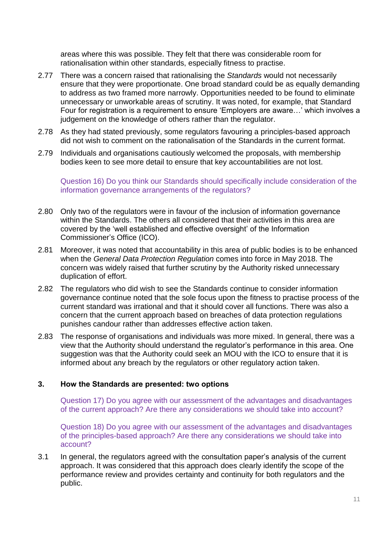areas where this was possible. They felt that there was considerable room for rationalisation within other standards, especially fitness to practise.

- 2.77 There was a concern raised that rationalising the *Standards* would not necessarily ensure that they were proportionate. One broad standard could be as equally demanding to address as two framed more narrowly. Opportunities needed to be found to eliminate unnecessary or unworkable areas of scrutiny. It was noted, for example, that Standard Four for registration is a requirement to ensure 'Employers are aware…' which involves a judgement on the knowledge of others rather than the regulator.
- 2.78 As they had stated previously, some regulators favouring a principles-based approach did not wish to comment on the rationalisation of the Standards in the current format.
- 2.79 Individuals and organisations cautiously welcomed the proposals, with membership bodies keen to see more detail to ensure that key accountabilities are not lost.

Question 16) Do you think our Standards should specifically include consideration of the information governance arrangements of the regulators?

- 2.80 Only two of the regulators were in favour of the inclusion of information governance within the Standards. The others all considered that their activities in this area are covered by the 'well established and effective oversight' of the Information Commissioner's Office (ICO).
- 2.81 Moreover, it was noted that accountability in this area of public bodies is to be enhanced when the *General Data Protection Regulation* comes into force in May 2018. The concern was widely raised that further scrutiny by the Authority risked unnecessary duplication of effort.
- 2.82 The regulators who did wish to see the Standards continue to consider information governance continue noted that the sole focus upon the fitness to practise process of the current standard was irrational and that it should cover all functions. There was also a concern that the current approach based on breaches of data protection regulations punishes candour rather than addresses effective action taken.
- 2.83 The response of organisations and individuals was more mixed. In general, there was a view that the Authority should understand the regulator's performance in this area. One suggestion was that the Authority could seek an MOU with the ICO to ensure that it is informed about any breach by the regulators or other regulatory action taken.

### **3. How the Standards are presented: two options**

Question 17) Do you agree with our assessment of the advantages and disadvantages of the current approach? Are there any considerations we should take into account?

Question 18) Do you agree with our assessment of the advantages and disadvantages of the principles-based approach? Are there any considerations we should take into account?

3.1 In general, the regulators agreed with the consultation paper's analysis of the current approach. It was considered that this approach does clearly identify the scope of the performance review and provides certainty and continuity for both regulators and the public.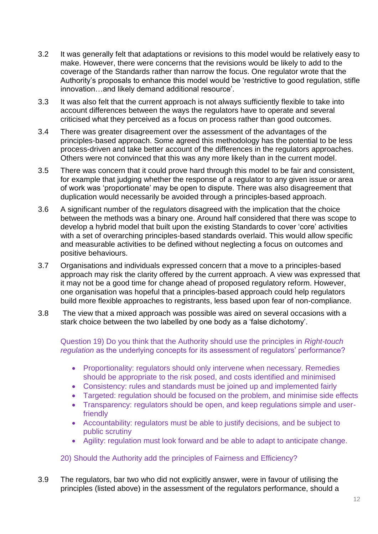- 3.2 It was generally felt that adaptations or revisions to this model would be relatively easy to make. However, there were concerns that the revisions would be likely to add to the coverage of the Standards rather than narrow the focus. One regulator wrote that the Authority's proposals to enhance this model would be 'restrictive to good regulation, stifle innovation…and likely demand additional resource'.
- 3.3 It was also felt that the current approach is not always sufficiently flexible to take into account differences between the ways the regulators have to operate and several criticised what they perceived as a focus on process rather than good outcomes.
- 3.4 There was greater disagreement over the assessment of the advantages of the principles-based approach. Some agreed this methodology has the potential to be less process-driven and take better account of the differences in the regulators approaches. Others were not convinced that this was any more likely than in the current model.
- 3.5 There was concern that it could prove hard through this model to be fair and consistent, for example that judging whether the response of a regulator to any given issue or area of work was 'proportionate' may be open to dispute. There was also disagreement that duplication would necessarily be avoided through a principles-based approach.
- 3.6 A significant number of the regulators disagreed with the implication that the choice between the methods was a binary one. Around half considered that there was scope to develop a hybrid model that built upon the existing Standards to cover 'core' activities with a set of overarching principles-based standards overlaid. This would allow specific and measurable activities to be defined without neglecting a focus on outcomes and positive behaviours.
- 3.7 Organisations and individuals expressed concern that a move to a principles-based approach may risk the clarity offered by the current approach. A view was expressed that it may not be a good time for change ahead of proposed regulatory reform. However, one organisation was hopeful that a principles-based approach could help regulators build more flexible approaches to registrants, less based upon fear of non-compliance.
- 3.8 The view that a mixed approach was possible was aired on several occasions with a stark choice between the two labelled by one body as a 'false dichotomy'.

Question 19) Do you think that the Authority should use the principles in *Right-touch regulation* as the underlying concepts for its assessment of regulators' performance?

- Proportionality: regulators should only intervene when necessary. Remedies should be appropriate to the risk posed, and costs identified and minimised
- Consistency: rules and standards must be joined up and implemented fairly
- Targeted: regulation should be focused on the problem, and minimise side effects
- Transparency: regulators should be open, and keep regulations simple and userfriendly
- Accountability: regulators must be able to justify decisions, and be subject to public scrutiny
- Agility: regulation must look forward and be able to adapt to anticipate change.

# 20) Should the Authority add the principles of Fairness and Efficiency?

3.9 The regulators, bar two who did not explicitly answer, were in favour of utilising the principles (listed above) in the assessment of the regulators performance, should a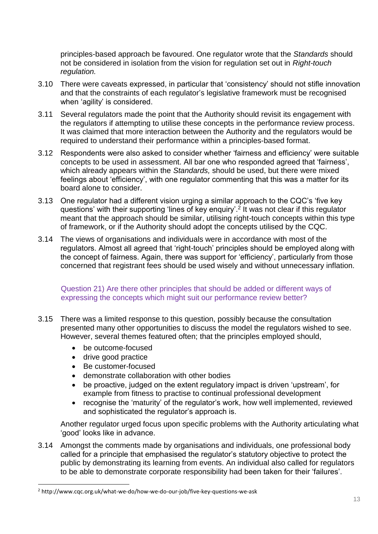principles-based approach be favoured. One regulator wrote that the *Standards* should not be considered in isolation from the vision for regulation set out in *Right-touch regulation.* 

- 3.10 There were caveats expressed, in particular that 'consistency' should not stifle innovation and that the constraints of each regulator's legislative framework must be recognised when 'agility' is considered.
- 3.11 Several regulators made the point that the Authority should revisit its engagement with the regulators if attempting to utilise these concepts in the performance review process. It was claimed that more interaction between the Authority and the regulators would be required to understand their performance within a principles-based format.
- 3.12 Respondents were also asked to consider whether 'fairness and efficiency' were suitable concepts to be used in assessment. All bar one who responded agreed that 'fairness', which already appears within the *Standards,* should be used, but there were mixed feelings about 'efficiency', with one regulator commenting that this was a matter for its board alone to consider.
- 3.13 One regulator had a different vision urging a similar approach to the CQC's 'five key questions' with their supporting 'lines of key enquiry'.<sup>2</sup> It was not clear if this regulator meant that the approach should be similar, utilising right-touch concepts within this type of framework, or if the Authority should adopt the concepts utilised by the CQC.
- 3.14 The views of organisations and individuals were in accordance with most of the regulators. Almost all agreed that 'right-touch' principles should be employed along with the concept of fairness. Again, there was support for 'efficiency', particularly from those concerned that registrant fees should be used wisely and without unnecessary inflation.

### Question 21) Are there other principles that should be added or different ways of expressing the concepts which might suit our performance review better?

- 3.15 There was a limited response to this question, possibly because the consultation presented many other opportunities to discuss the model the regulators wished to see. However, several themes featured often; that the principles employed should,
	- be outcome-focused
	- drive good practice

 $\overline{a}$ 

- Be customer-focused
- demonstrate collaboration with other bodies
- be proactive, judged on the extent regulatory impact is driven 'upstream', for example from fitness to practise to continual professional development
- recognise the 'maturity' of the regulator's work, how well implemented, reviewed and sophisticated the regulator's approach is.

Another regulator urged focus upon specific problems with the Authority articulating what 'good' looks like in advance.

3.14 Amongst the comments made by organisations and individuals, one professional body called for a principle that emphasised the regulator's statutory objective to protect the public by demonstrating its learning from events. An individual also called for regulators to be able to demonstrate corporate responsibility had been taken for their 'failures'.

<sup>2</sup> http://www.cqc.org.uk/what-we-do/how-we-do-our-job/five-key-questions-we-ask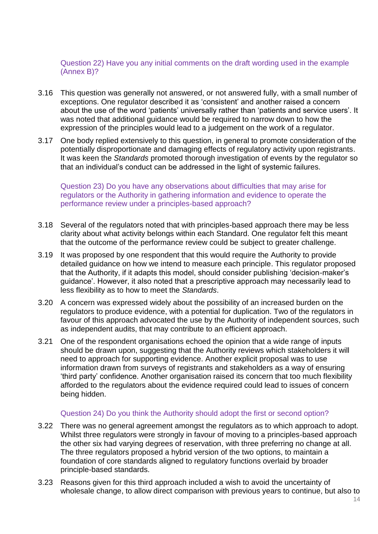Question 22) Have you any initial comments on the draft wording used in the example (Annex B)?

- 3.16 This question was generally not answered, or not answered fully, with a small number of exceptions. One regulator described it as 'consistent' and another raised a concern about the use of the word 'patients' universally rather than 'patients and service users'. It was noted that additional guidance would be required to narrow down to how the expression of the principles would lead to a judgement on the work of a regulator.
- 3.17 One body replied extensively to this question, in general to promote consideration of the potentially disproportionate and damaging effects of regulatory activity upon registrants. It was keen the *Standards* promoted thorough investigation of events by the regulator so that an individual's conduct can be addressed in the light of systemic failures.

Question 23) Do you have any observations about difficulties that may arise for regulators or the Authority in gathering information and evidence to operate the performance review under a principles-based approach?

- 3.18 Several of the regulators noted that with principles-based approach there may be less clarity about what activity belongs within each Standard. One regulator felt this meant that the outcome of the performance review could be subject to greater challenge.
- 3.19 It was proposed by one respondent that this would require the Authority to provide detailed guidance on how we intend to measure each principle. This regulator proposed that the Authority, if it adapts this model, should consider publishing 'decision-maker's guidance'. However, it also noted that a prescriptive approach may necessarily lead to less flexibility as to how to meet the *Standards*.
- 3.20 A concern was expressed widely about the possibility of an increased burden on the regulators to produce evidence, with a potential for duplication. Two of the regulators in favour of this approach advocated the use by the Authority of independent sources, such as independent audits, that may contribute to an efficient approach.
- 3.21 One of the respondent organisations echoed the opinion that a wide range of inputs should be drawn upon, suggesting that the Authority reviews which stakeholders it will need to approach for supporting evidence. Another explicit proposal was to use information drawn from surveys of registrants and stakeholders as a way of ensuring 'third party' confidence. Another organisation raised its concern that too much flexibility afforded to the regulators about the evidence required could lead to issues of concern being hidden.

#### Question 24) Do you think the Authority should adopt the first or second option?

- 3.22 There was no general agreement amongst the regulators as to which approach to adopt. Whilst three regulators were strongly in favour of moving to a principles-based approach the other six had varying degrees of reservation, with three preferring no change at all. The three regulators proposed a hybrid version of the two options, to maintain a foundation of core standards aligned to regulatory functions overlaid by broader principle-based standards.
- 3.23 Reasons given for this third approach included a wish to avoid the uncertainty of wholesale change, to allow direct comparison with previous years to continue, but also to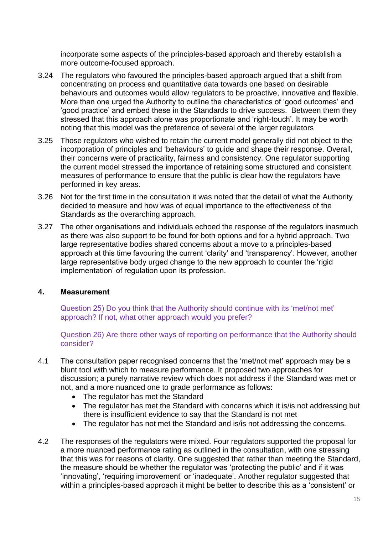incorporate some aspects of the principles-based approach and thereby establish a more outcome-focused approach.

- 3.24 The regulators who favoured the principles-based approach argued that a shift from concentrating on process and quantitative data towards one based on desirable behaviours and outcomes would allow regulators to be proactive, innovative and flexible. More than one urged the Authority to outline the characteristics of 'good outcomes' and 'good practice' and embed these in the Standards to drive success. Between them they stressed that this approach alone was proportionate and 'right-touch'. It may be worth noting that this model was the preference of several of the larger regulators
- 3.25 Those regulators who wished to retain the current model generally did not object to the incorporation of principles and 'behaviours' to guide and shape their response. Overall, their concerns were of practicality, fairness and consistency. One regulator supporting the current model stressed the importance of retaining some structured and consistent measures of performance to ensure that the public is clear how the regulators have performed in key areas.
- 3.26 Not for the first time in the consultation it was noted that the detail of what the Authority decided to measure and how was of equal importance to the effectiveness of the Standards as the overarching approach.
- 3.27 The other organisations and individuals echoed the response of the regulators inasmuch as there was also support to be found for both options and for a hybrid approach. Two large representative bodies shared concerns about a move to a principles-based approach at this time favouring the current 'clarity' and 'transparency'. However, another large representative body urged change to the new approach to counter the 'rigid implementation' of regulation upon its profession.

# **4. Measurement**

Question 25) Do you think that the Authority should continue with its 'met/not met' approach? If not, what other approach would you prefer?

Question 26) Are there other ways of reporting on performance that the Authority should consider?

- 4.1 The consultation paper recognised concerns that the 'met/not met' approach may be a blunt tool with which to measure performance. It proposed two approaches for discussion; a purely narrative review which does not address if the Standard was met or not, and a more nuanced one to grade performance as follows:
	- The regulator has met the Standard
	- The regulator has met the Standard with concerns which it is/is not addressing but there is insufficient evidence to say that the Standard is not met
	- The regulator has not met the Standard and is/is not addressing the concerns.
- 4.2 The responses of the regulators were mixed. Four regulators supported the proposal for a more nuanced performance rating as outlined in the consultation, with one stressing that this was for reasons of clarity. One suggested that rather than meeting the Standard, the measure should be whether the regulator was 'protecting the public' and if it was 'innovating', 'requiring improvement' or 'inadequate'. Another regulator suggested that within a principles-based approach it might be better to describe this as a 'consistent' or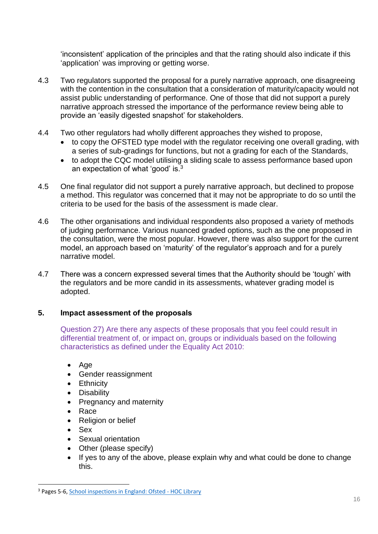'inconsistent' application of the principles and that the rating should also indicate if this 'application' was improving or getting worse.

- 4.3 Two regulators supported the proposal for a purely narrative approach, one disagreeing with the contention in the consultation that a consideration of maturity/capacity would not assist public understanding of performance. One of those that did not support a purely narrative approach stressed the importance of the performance review being able to provide an 'easily digested snapshot' for stakeholders.
- 4.4 Two other regulators had wholly different approaches they wished to propose,
	- to copy the OFSTED type model with the regulator receiving one overall grading, with a series of sub-gradings for functions, but not a grading for each of the Standards,
	- to adopt the CQC model utilising a sliding scale to assess performance based upon an expectation of what 'good' is.<sup>3</sup>
- 4.5 One final regulator did not support a purely narrative approach, but declined to propose a method. This regulator was concerned that it may not be appropriate to do so until the criteria to be used for the basis of the assessment is made clear.
- 4.6 The other organisations and individual respondents also proposed a variety of methods of judging performance. Various nuanced graded options, such as the one proposed in the consultation, were the most popular. However, there was also support for the current model, an approach based on 'maturity' of the regulator's approach and for a purely narrative model.
- 4.7 There was a concern expressed several times that the Authority should be 'tough' with the regulators and be more candid in its assessments, whatever grading model is adopted.

# **5. Impact assessment of the proposals**

Question 27) Are there any aspects of these proposals that you feel could result in differential treatment of, or impact on, groups or individuals based on the following characteristics as defined under the Equality Act 2010:

- Age
- Gender reassignment
- Ethnicity
- Disability
- Pregnancy and maternity
- Race
- Religion or belief
- Sex

 $\overline{a}$ 

- Sexual orientation
- Other (please specify)
- If yes to any of the above, please explain why and what could be done to change this.

<sup>&</sup>lt;sup>3</sup> Pages 5-6, [School inspections in England: Ofsted -](https://www.google.co.uk/url?sa=t&rct=j&q=&esrc=s&source=web&cd=5&ved=0ahUKEwjkj8DY0JrXAhUFtRoKHUyfBXEQFgg_MAQ&url=http%3A%2F%2Fresearchbriefings.files.parliament.uk%2Fdocuments%2FSN07091%2FSN07091.pdf&usg=AOvVaw1NSqBqOGbfqtjjQyjjtfWr) HOC Library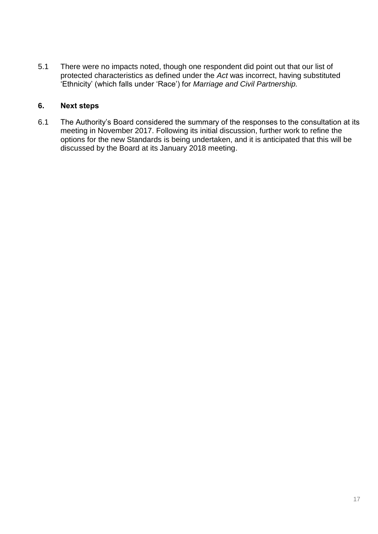5.1 There were no impacts noted, though one respondent did point out that our list of protected characteristics as defined under the *Act* was incorrect, having substituted 'Ethnicity' (which falls under 'Race') for *Marriage and Civil Partnership.*

# **6. Next steps**

6.1 The Authority's Board considered the summary of the responses to the consultation at its meeting in November 2017. Following its initial discussion, further work to refine the options for the new Standards is being undertaken, and it is anticipated that this will be discussed by the Board at its January 2018 meeting.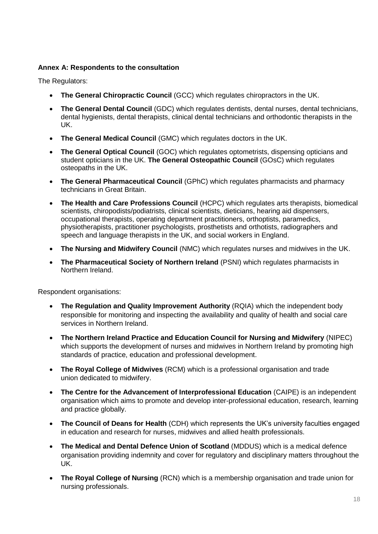#### **Annex A: Respondents to the consultation**

The Regulators:

- **The General Chiropractic Council** (GCC) which regulates chiropractors in the UK.
- **The General Dental Council** (GDC) which regulates dentists, dental nurses, dental technicians, dental hygienists, dental therapists, clinical dental technicians and orthodontic therapists in the UK.
- **The General Medical Council** (GMC) which regulates doctors in the UK.
- **The General Optical Council** (GOC) which regulates optometrists, dispensing opticians and student opticians in the UK. **The General Osteopathic Council** (GOsC) which regulates osteopaths in the UK.
- **The General Pharmaceutical Council** (GPhC) which regulates pharmacists and pharmacy technicians in Great Britain.
- **The Health and Care Professions Council** (HCPC) which regulates arts therapists, biomedical scientists, chiropodists/podiatrists, clinical scientists, dieticians, hearing aid dispensers, occupational therapists, operating department practitioners, orthoptists, paramedics, physiotherapists, practitioner psychologists, prosthetists and orthotists, radiographers and speech and language therapists in the UK, and social workers in England.
- **The Nursing and Midwifery Council** (NMC) which regulates nurses and midwives in the UK.
- **The Pharmaceutical Society of Northern Ireland** (PSNI) which regulates pharmacists in Northern Ireland.

Respondent organisations:

- **The Regulation and Quality Improvement Authority** (RQIA) which the independent body responsible for monitoring and inspecting the availability and quality of health and social care services in Northern Ireland.
- **The Northern Ireland Practice and Education Council for Nursing and Midwifery** (NIPEC) which supports the development of nurses and midwives in Northern Ireland by promoting high standards of practice, education and professional development.
- **The Royal College of Midwives** (RCM) which is a professional organisation and trade union dedicated to midwifery.
- **The Centre for the Advancement of Interprofessional Education** (CAIPE) is an independent organisation which aims to promote and develop inter-professional education, research, learning and practice globally.
- **The Council of Deans for Health** (CDH) which represents the UK's university faculties engaged in education and research for nurses, midwives and allied health professionals.
- **The Medical and Dental Defence Union of Scotland** (MDDUS) which is a medical defence organisation providing indemnity and cover for regulatory and disciplinary matters throughout the UK.
- **The Royal College of Nursing** (RCN) which is a membership organisation and trade union for nursing professionals.